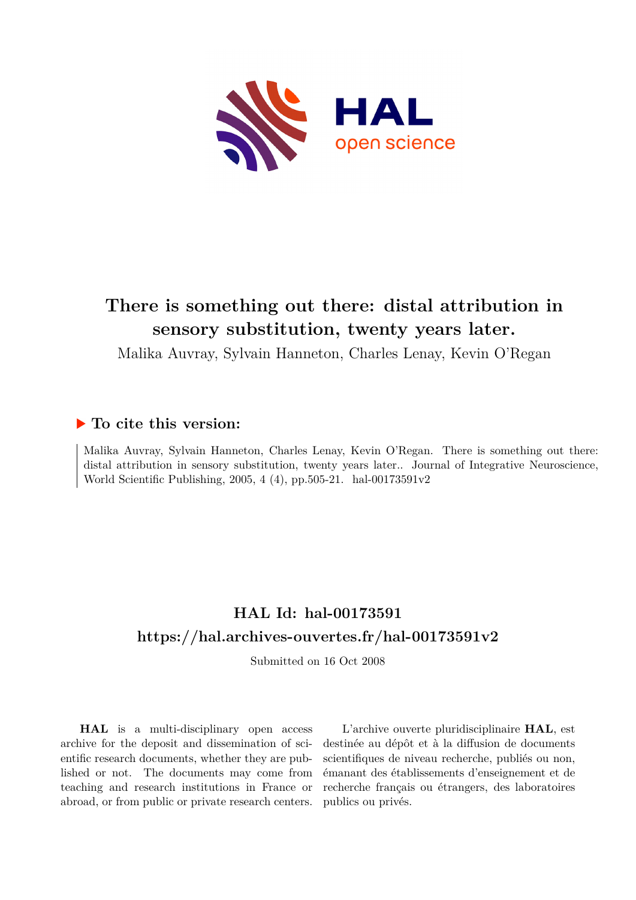

# **There is something out there: distal attribution in sensory substitution, twenty years later.**

Malika Auvray, Sylvain Hanneton, Charles Lenay, Kevin O'Regan

### **To cite this version:**

Malika Auvray, Sylvain Hanneton, Charles Lenay, Kevin O'Regan. There is something out there: distal attribution in sensory substitution, twenty years later.. Journal of Integrative Neuroscience, World Scientific Publishing, 2005, 4 (4), pp.505-21. hal-00173591v2

## **HAL Id: hal-00173591 <https://hal.archives-ouvertes.fr/hal-00173591v2>**

Submitted on 16 Oct 2008

**HAL** is a multi-disciplinary open access archive for the deposit and dissemination of scientific research documents, whether they are published or not. The documents may come from teaching and research institutions in France or abroad, or from public or private research centers.

L'archive ouverte pluridisciplinaire **HAL**, est destinée au dépôt et à la diffusion de documents scientifiques de niveau recherche, publiés ou non, émanant des établissements d'enseignement et de recherche français ou étrangers, des laboratoires publics ou privés.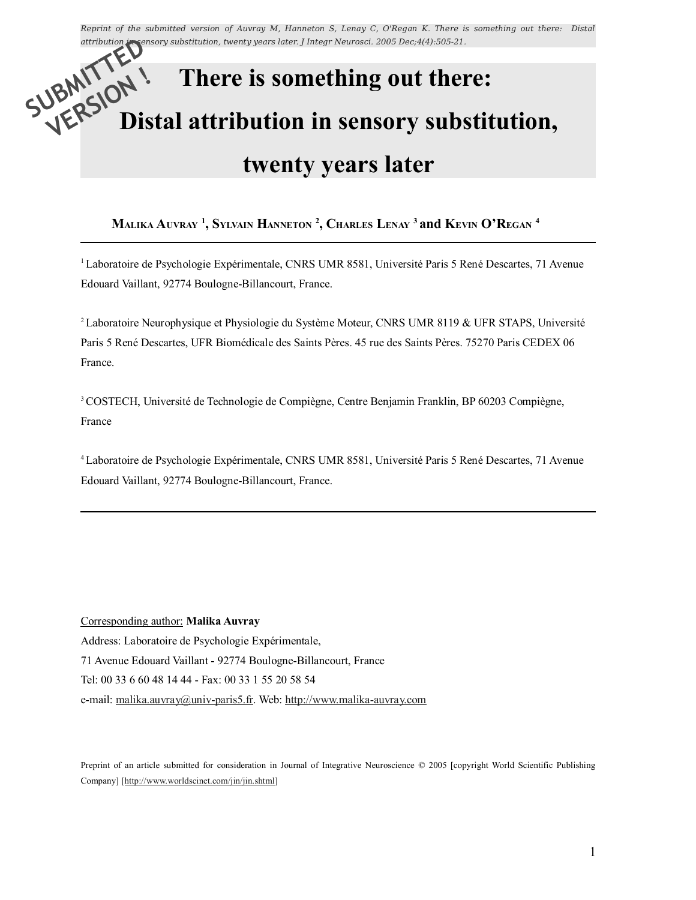Reprint of the submitted version of Auvray M, Hanneton S, Lenay C, O'Regan K. There is something out there: Distal

# attribution in substitution, twenty years later. J Integr Neurosci. 2005 Dec;4(4):505-21.<br>
SUBMITTED<br>
SUBMITTED **Directed** a territory is a general such as the l **There is something out there: Distal attribution in sensory substitution, twenty years later VERSION!**

## Malika Auvray <sup>1</sup>, Sylvain Hanneton <sup>2</sup>, Charles Lenay <sup>3</sup> and Kevin O'Regan <sup>4</sup>

<sup>1</sup> Laboratoire de Psychologie Expérimentale, CNRS UMR 8581, Université Paris 5 René Descartes, 71 Avenue Edouard Vaillant, 92774 Boulogne-Billancourt, France.

<sup>2</sup> Laboratoire Neurophysique et Physiologie du Système Moteur, CNRS UMR 8119 & UFR STAPS, Université Paris 5 René Descartes, UFR Biomédicale des Saints Pères. 45 rue des Saints Pères. 75270 Paris CEDEX 06 France.

<sup>3</sup> COSTECH, Université de Technologie de Compiègne, Centre Benjamin Franklin, BP 60203 Compiègne, France

<sup>4</sup> Laboratoire de Psychologie Expérimentale, CNRS UMR 8581, Université Paris 5 René Descartes, 71 Avenue Edouard Vaillant, 92774 Boulogne-Billancourt, France.

Corresponding author: **Malika Auvray**

Address: Laboratoire de Psychologie Expérimentale, 71 Avenue Edouard Vaillant - 92774 Boulogne-Billancourt, France Tel: 00 33 6 60 48 14 44 - Fax: 00 33 1 55 20 58 54 e-mail: malika.auvray@univ-paris5.fr. Web: http://www.malika-auvray.com

Preprint of an article submitted for consideration in Journal of Integrative Neuroscience © 2005 [copyright World Scientific Publishing Company] [http://www.worldscinet.com/jin/jin.shtml]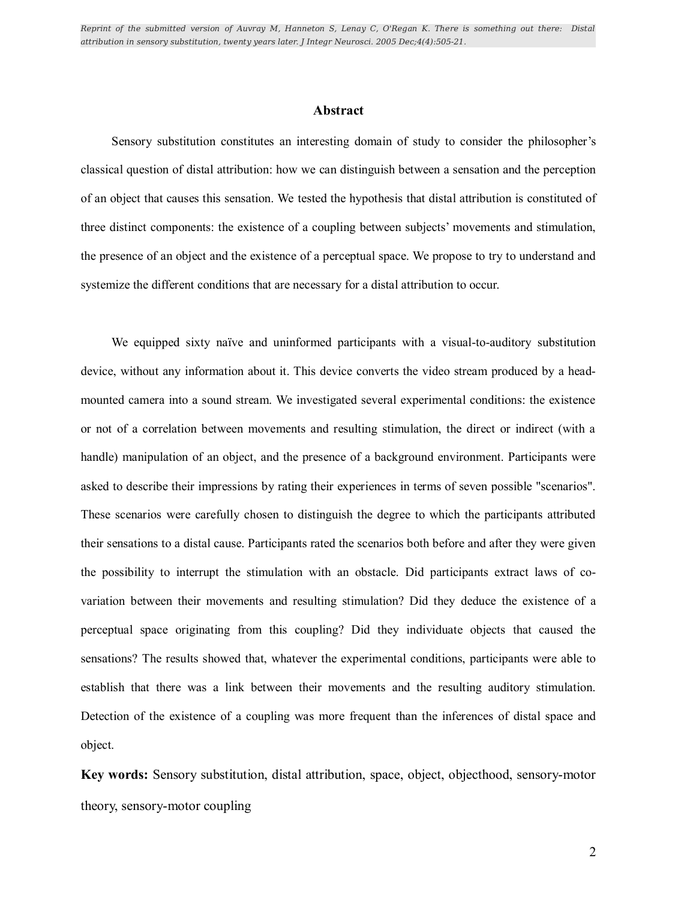#### **Abstract**

Sensory substitution constitutes an interesting domain of study to consider the philosopher's classical question of distal attribution: how we can distinguish between a sensation and the perception of an object that causes this sensation. We tested the hypothesis that distal attribution is constituted of three distinct components: the existence of a coupling between subjects' movements and stimulation, the presence of an object and the existence of a perceptual space. We propose to try to understand and systemize the different conditions that are necessary for a distal attribution to occur.

We equipped sixty naïve and uninformed participants with a visual-to-auditory substitution device, without any information about it. This device converts the video stream produced by a headmounted camera into a sound stream. We investigated several experimental conditions: the existence or not of a correlation between movements and resulting stimulation, the direct or indirect (with a handle) manipulation of an object, and the presence of a background environment. Participants were asked to describe their impressions by rating their experiences in terms of seven possible "scenarios". These scenarios were carefully chosen to distinguish the degree to which the participants attributed their sensations to a distal cause. Participants rated the scenarios both before and after they were given the possibility to interrupt the stimulation with an obstacle. Did participants extract laws of covariation between their movements and resulting stimulation? Did they deduce the existence of a perceptual space originating from this coupling? Did they individuate objects that caused the sensations? The results showed that, whatever the experimental conditions, participants were able to establish that there was a link between their movements and the resulting auditory stimulation. Detection of the existence of a coupling was more frequent than the inferences of distal space and object.

**Key words:** Sensory substitution, distal attribution, space, object, objecthood, sensory-motor theory, sensory-motor coupling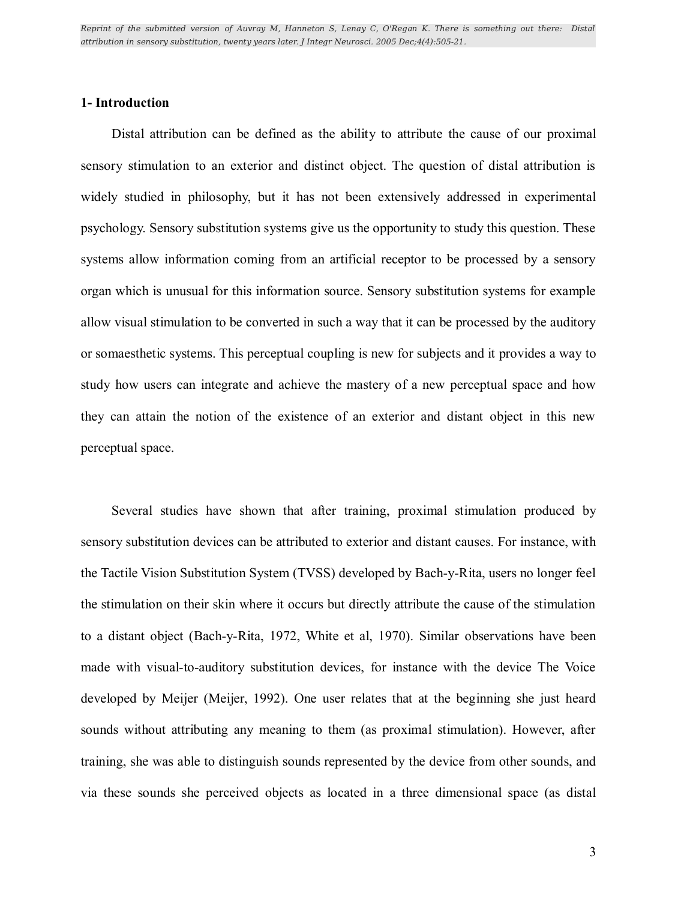#### **1- Introduction**

Distal attribution can be defined as the ability to attribute the cause of our proximal sensory stimulation to an exterior and distinct object. The question of distal attribution is widely studied in philosophy, but it has not been extensively addressed in experimental psychology. Sensory substitution systems give us the opportunity to study this question. These systems allow information coming from an artificial receptor to be processed by a sensory organ which is unusual for this information source. Sensory substitution systems for example allow visual stimulation to be converted in such a way that it can be processed by the auditory or somaesthetic systems. This perceptual coupling is new for subjects and it provides a way to study how users can integrate and achieve the mastery of a new perceptual space and how they can attain the notion of the existence of an exterior and distant object in this new perceptual space.

Several studies have shown that after training, proximal stimulation produced by sensory substitution devices can be attributed to exterior and distant causes. For instance, with the Tactile Vision Substitution System (TVSS) developed by Bach-y-Rita, users no longer feel the stimulation on their skin where it occurs but directly attribute the cause of the stimulation to a distant object (Bach-y-Rita, 1972, White et al, 1970). Similar observations have been made with visual-to-auditory substitution devices, for instance with the device The Voice developed by Meijer (Meijer, 1992). One user relates that at the beginning she just heard sounds without attributing any meaning to them (as proximal stimulation). However, after training, she was able to distinguish sounds represented by the device from other sounds, and via these sounds she perceived objects as located in a three dimensional space (as distal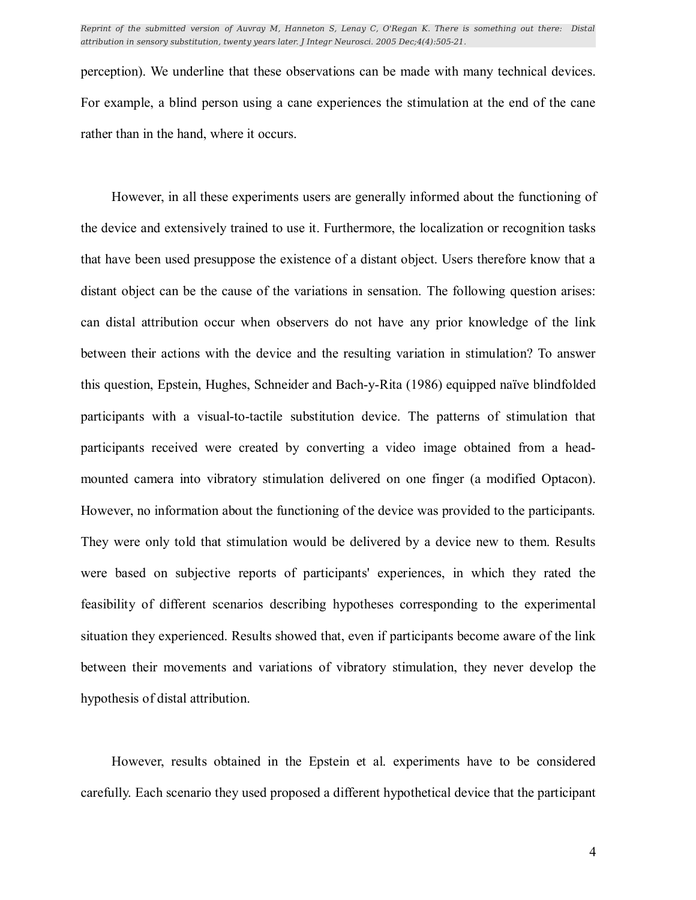perception). We underline that these observations can be made with many technical devices. For example, a blind person using a cane experiences the stimulation at the end of the cane rather than in the hand, where it occurs.

However, in all these experiments users are generally informed about the functioning of the device and extensively trained to use it. Furthermore, the localization or recognition tasks that have been used presuppose the existence of a distant object. Users therefore know that a distant object can be the cause of the variations in sensation. The following question arises: can distal attribution occur when observers do not have any prior knowledge of the link between their actions with the device and the resulting variation in stimulation? To answer this question, Epstein, Hughes, Schneider and Bach-y-Rita (1986) equipped naïve blindfolded participants with a visual-to-tactile substitution device. The patterns of stimulation that participants received were created by converting a video image obtained from a headmounted camera into vibratory stimulation delivered on one finger (a modified Optacon). However, no information about the functioning of the device was provided to the participants. They were only told that stimulation would be delivered by a device new to them. Results were based on subjective reports of participants' experiences, in which they rated the feasibility of different scenarios describing hypotheses corresponding to the experimental situation they experienced. Results showed that, even if participants become aware of the link between their movements and variations of vibratory stimulation, they never develop the hypothesis of distal attribution.

However, results obtained in the Epstein et al. experiments have to be considered carefully. Each scenario they used proposed a different hypothetical device that the participant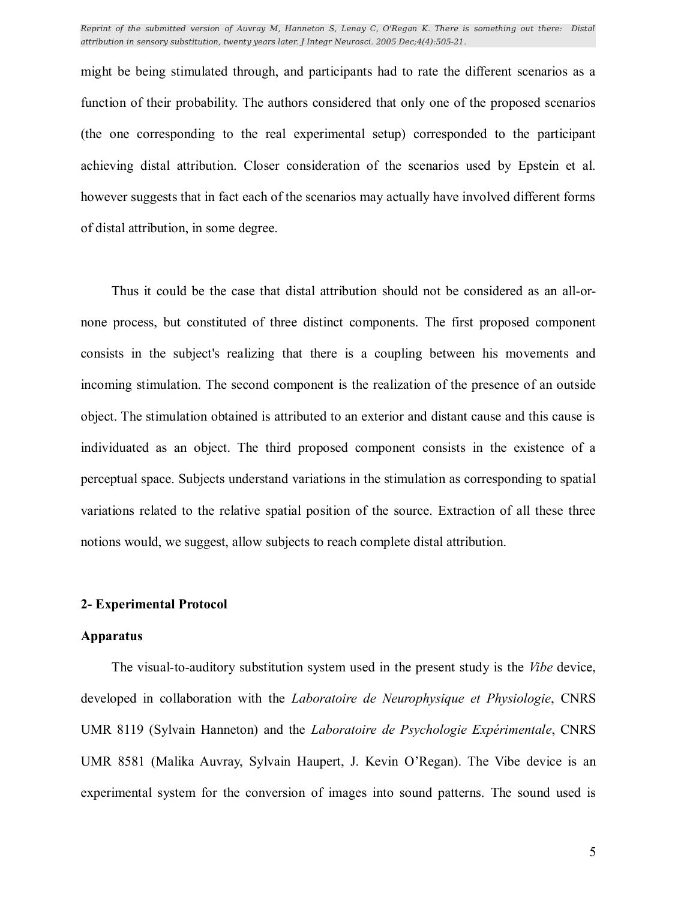might be being stimulated through, and participants had to rate the different scenarios as a function of their probability. The authors considered that only one of the proposed scenarios (the one corresponding to the real experimental setup) corresponded to the participant achieving distal attribution. Closer consideration of the scenarios used by Epstein et al. however suggests that in fact each of the scenarios may actually have involved different forms of distal attribution, in some degree.

Thus it could be the case that distal attribution should not be considered as an all-ornone process, but constituted of three distinct components. The first proposed component consists in the subject's realizing that there is a coupling between his movements and incoming stimulation. The second component is the realization of the presence of an outside object. The stimulation obtained is attributed to an exterior and distant cause and this cause is individuated as an object. The third proposed component consists in the existence of a perceptual space. Subjects understand variations in the stimulation as corresponding to spatial variations related to the relative spatial position of the source. Extraction of all these three notions would, we suggest, allow subjects to reach complete distal attribution.

#### **2- Experimental Protocol**

#### **Apparatus**

The visual-to-auditory substitution system used in the present study is the *Vibe* device, developed in collaboration with the *Laboratoire de Neurophysique et Physiologie*, CNRS UMR 8119 (Sylvain Hanneton) and the *Laboratoire de Psychologie ExpÈrimentale*, CNRS UMR 8581 (Malika Auvray, Sylvain Haupert, J. Kevin O'Regan). The Vibe device is an experimental system for the conversion of images into sound patterns. The sound used is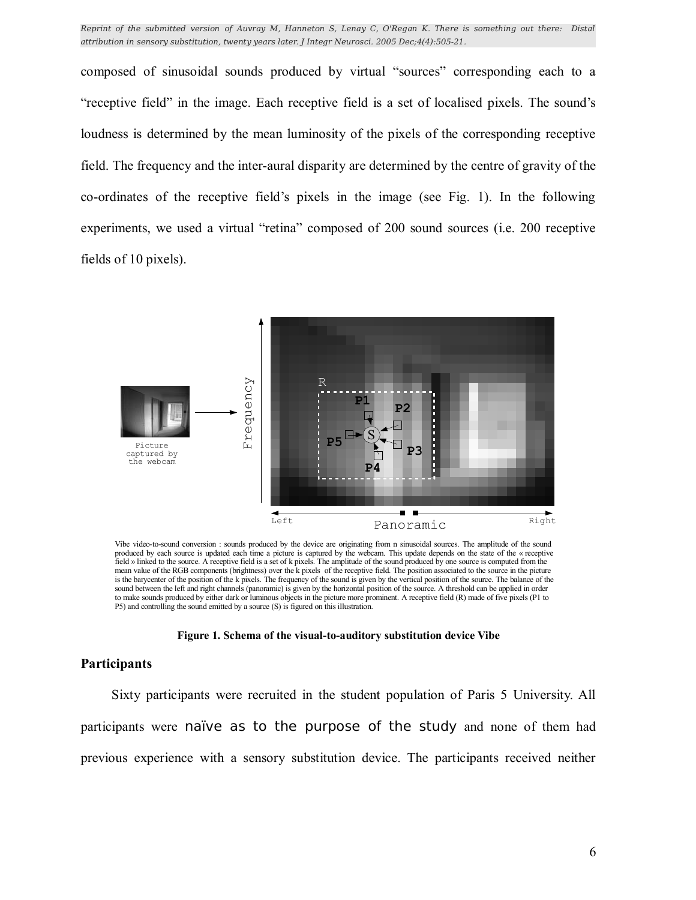composed of sinusoidal sounds produced by virtual "sources" corresponding each to a *i* receptive field" in the image. Each receptive field is a set of localised pixels. The sound's loudness is determined by the mean luminosity of the pixels of the corresponding receptive field. The frequency and the inter-aural disparity are determined by the centre of gravity of the co-ordinates of the receptive fieldís pixels in the image (see Fig. 1). In the following experiments, we used a virtual "retina" composed of 200 sound sources (i.e. 200 receptive fields of 10 pixels).



Vibe video-to-sound conversion : sounds produced by the device are originating from n sinusoidal sources. The amplitude of the sound produced by each source is updated each time a picture is captured by the webcam. This update depends on the state of the « receptive<br>field » linked to the source. A receptive field is a set of k pixels. The amplitude of t mean value of the RGB components (brightness) over the k pixels of the receptive field. The position associated to the source in the picture is the barycenter of the position of the k pixels. The frequency of the sound is given by the vertical position of the source. The balance of the sound between the left and right channels (panoramic) is given by the horizontal position of the source. A threshold can be applied in order to make sounds produced by either dark or luminous objects in the picture more prominent. A receptive field (R) made of five pixels (P1 to P5) and controlling the sound emitted by a source (S) is figured on this illustration.

**Figure 1. Schema of the visual-to-auditory substitution device Vibe**

#### **Participants**

Sixty participants were recruited in the student population of Paris 5 University. All participants were naïve as to the purpose of the study and none of them had previous experience with a sensory substitution device. The participants received neither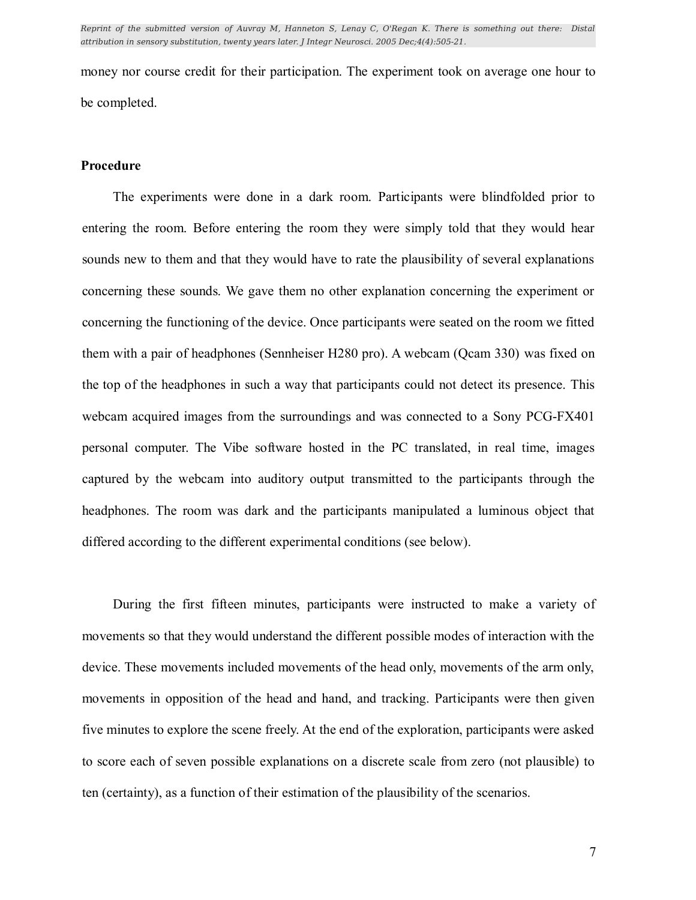money nor course credit for their participation. The experiment took on average one hour to be completed.

#### **Procedure**

The experiments were done in a dark room. Participants were blindfolded prior to entering the room. Before entering the room they were simply told that they would hear sounds new to them and that they would have to rate the plausibility of several explanations concerning these sounds. We gave them no other explanation concerning the experiment or concerning the functioning of the device. Once participants were seated on the room we fitted them with a pair of headphones (Sennheiser H280 pro). A webcam (Qcam 330) was fixed on the top of the headphones in such a way that participants could not detect its presence. This webcam acquired images from the surroundings and was connected to a Sony PCG-FX401 personal computer. The Vibe software hosted in the PC translated, in real time, images captured by the webcam into auditory output transmitted to the participants through the headphones. The room was dark and the participants manipulated a luminous object that differed according to the different experimental conditions (see below).

During the first fifteen minutes, participants were instructed to make a variety of movements so that they would understand the different possible modes of interaction with the device. These movements included movements of the head only, movements of the arm only, movements in opposition of the head and hand, and tracking. Participants were then given five minutes to explore the scene freely. At the end of the exploration, participants were asked to score each of seven possible explanations on a discrete scale from zero (not plausible) to ten (certainty), as a function of their estimation of the plausibility of the scenarios.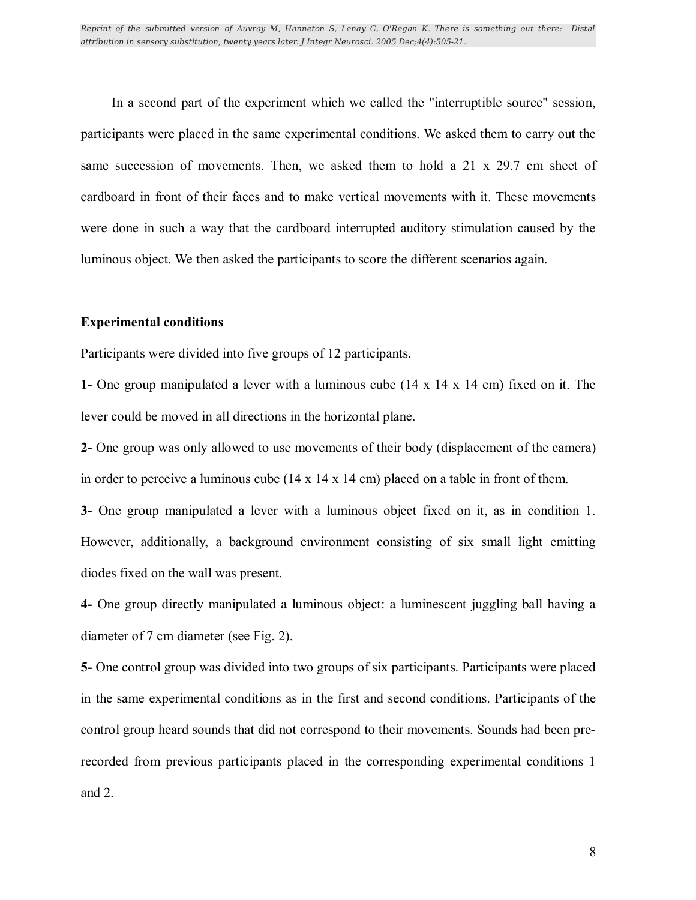In a second part of the experiment which we called the "interruptible source" session, participants were placed in the same experimental conditions. We asked them to carry out the same succession of movements. Then, we asked them to hold a 21 x 29.7 cm sheet of cardboard in front of their faces and to make vertical movements with it. These movements were done in such a way that the cardboard interrupted auditory stimulation caused by the luminous object. We then asked the participants to score the different scenarios again.

#### **Experimental conditions**

Participants were divided into five groups of 12 participants.

**1-** One group manipulated a lever with a luminous cube (14 x 14 x 14 cm) fixed on it. The lever could be moved in all directions in the horizontal plane.

**2-** One group was only allowed to use movements of their body (displacement of the camera) in order to perceive a luminous cube  $(14 \times 14 \times 14 \text{ cm})$  placed on a table in front of them.

**3-** One group manipulated a lever with a luminous object fixed on it, as in condition 1. However, additionally, a background environment consisting of six small light emitting diodes fixed on the wall was present.

**4-** One group directly manipulated a luminous object: a luminescent juggling ball having a diameter of 7 cm diameter (see Fig. 2).

**5-** One control group was divided into two groups of six participants. Participants were placed in the same experimental conditions as in the first and second conditions. Participants of the control group heard sounds that did not correspond to their movements. Sounds had been prerecorded from previous participants placed in the corresponding experimental conditions 1 and 2.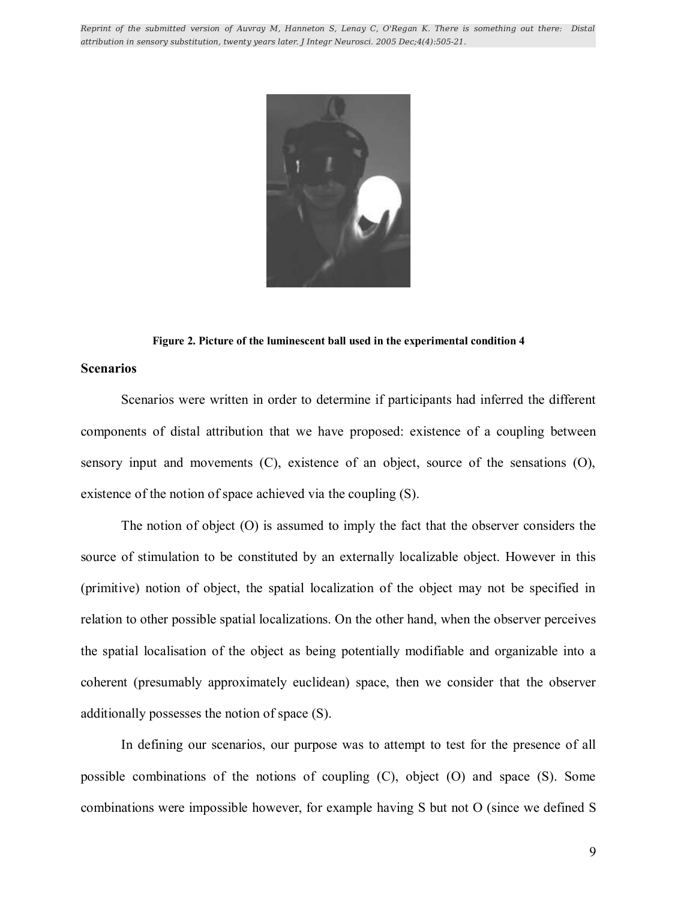

**Figure 2. Picture of the luminescent ball used in the experimental condition 4**

#### **Scenarios**

Scenarios were written in order to determine if participants had inferred the different components of distal attribution that we have proposed: existence of a coupling between sensory input and movements (C), existence of an object, source of the sensations (O), existence of the notion of space achieved via the coupling (S).

The notion of object (O) is assumed to imply the fact that the observer considers the source of stimulation to be constituted by an externally localizable object. However in this (primitive) notion of object, the spatial localization of the object may not be specified in relation to other possible spatial localizations. On the other hand, when the observer perceives the spatial localisation of the object as being potentially modifiable and organizable into a coherent (presumably approximately euclidean) space, then we consider that the observer additionally possesses the notion of space (S).

In defining our scenarios, our purpose was to attempt to test for the presence of all possible combinations of the notions of coupling (C), object (O) and space (S). Some combinations were impossible however, for example having S but not O (since we defined S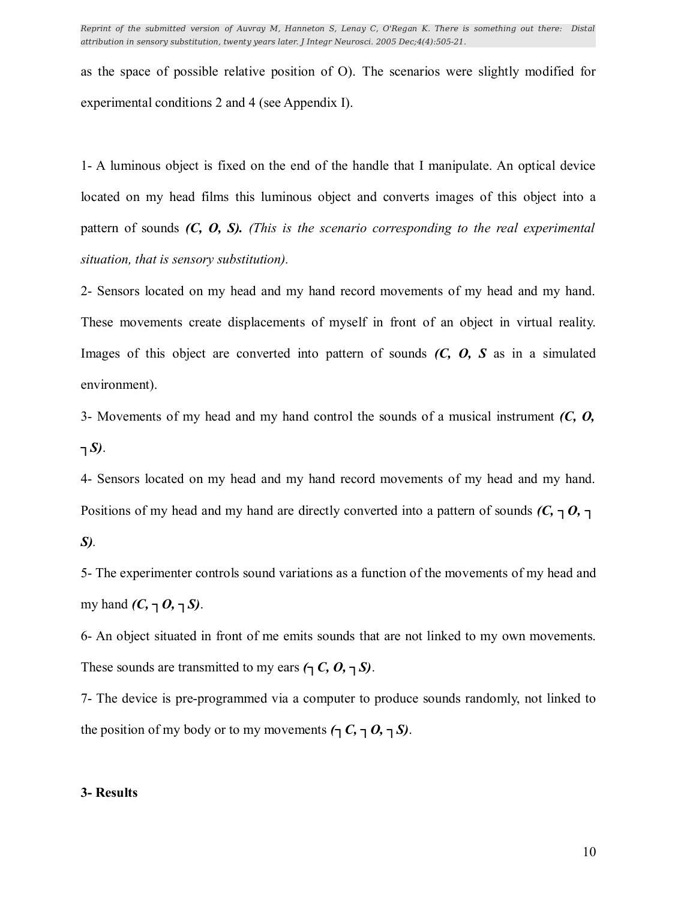as the space of possible relative position of O). The scenarios were slightly modified for experimental conditions 2 and 4 (see Appendix I).

1- A luminous object is fixed on the end of the handle that I manipulate. An optical device located on my head films this luminous object and converts images of this object into a pattern of sounds *(C, O, S). (This is the scenario corresponding to the real experimental situation, that is sensory substitution).*

2- Sensors located on my head and my hand record movements of my head and my hand. These movements create displacements of myself in front of an object in virtual reality. Images of this object are converted into pattern of sounds *(C, O, S* as in a simulated environment).

3- Movements of my head and my hand control the sounds of a musical instrument *(C, O, S)*.

4- Sensors located on my head and my hand record movements of my head and my hand. Positions of my head and my hand are directly converted into a pattern of sounds *(C, O,*

*S).*

5- The experimenter controls sound variations as a function of the movements of my head and my hand  $(C, \neg O, \neg S)$ .

6- An object situated in front of me emits sounds that are not linked to my own movements. These sounds are transmitted to my ears  $( \neg C, 0, \neg S)$ .

7- The device is pre-programmed via a computer to produce sounds randomly, not linked to the position of my body or to my movements  $( \neg C, \neg O, \neg S)$ .

#### **3- Results**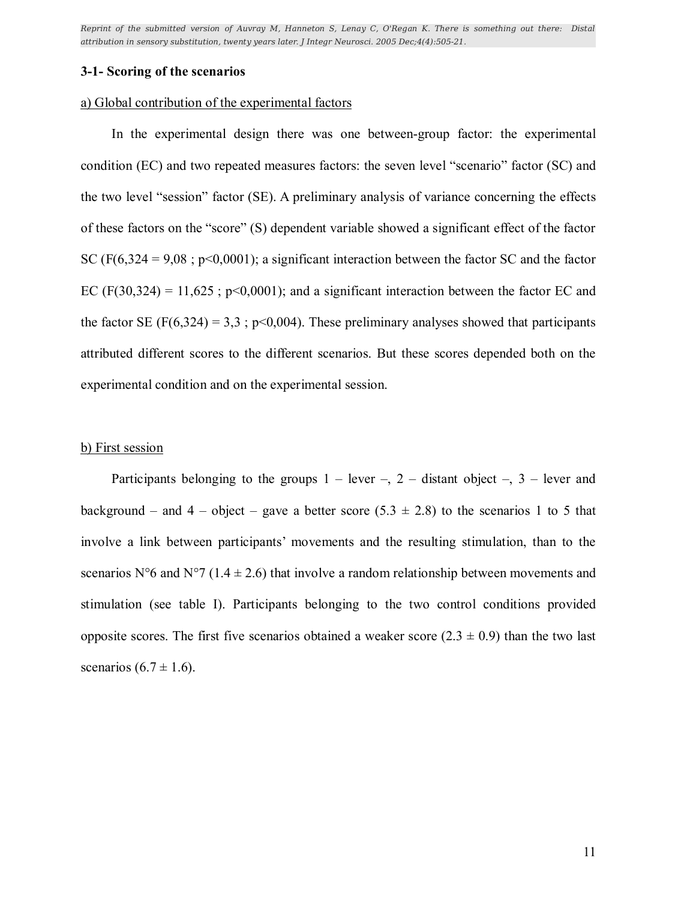#### **3-1- Scoring of the scenarios**

#### a) Global contribution of the experimental factors

In the experimental design there was one between-group factor: the experimental condition (EC) and two repeated measures factors: the seven level "scenario" factor  $(SC)$  and the two level "session" factor (SE). A preliminary analysis of variance concerning the effects of these factors on the "score" (S) dependent variable showed a significant effect of the factor SC ( $F(6,324 = 9,08; p<0,0001)$ ; a significant interaction between the factor SC and the factor EC (F(30,324) = 11,625; p<0,0001); and a significant interaction between the factor EC and the factor SE (F(6,324) = 3,3; p<0,004). These preliminary analyses showed that participants attributed different scores to the different scenarios. But these scores depended both on the experimental condition and on the experimental session.

#### b) First session

Participants belonging to the groups  $1$  – lever  $\overline{z}$ , 2 – distant object  $\overline{z}$ , 3 – lever and background – and 4 – object – gave a better score (5.3  $\pm$  2.8) to the scenarios 1 to 5 that involve a link between participants' movements and the resulting stimulation, than to the scenarios N°6 and N°7 (1.4  $\pm$  2.6) that involve a random relationship between movements and stimulation (see table I). Participants belonging to the two control conditions provided opposite scores. The first five scenarios obtained a weaker score  $(2.3 \pm 0.9)$  than the two last scenarios  $(6.7 \pm 1.6)$ .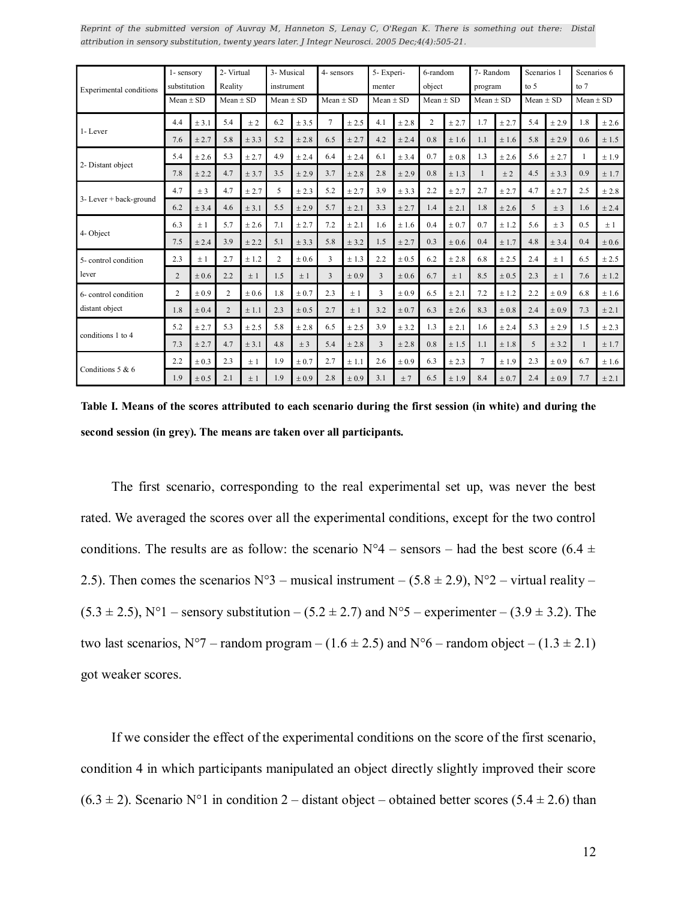| Experimental conditions                | 1-sensory<br>substitution<br>$Mean \pm SD$ |           | 2- Virtual<br>Reality<br>$Mean \pm SD$ |         | 3- Musical<br>instrument<br>$Mean \pm SD$ |         | 4- sensors<br>Mean $\pm$ SD |       | 5- Experi-<br>menter<br>$Mean \pm SD$ |       | 6-random<br>object<br>Mean $\pm$ SD |       | 7- Random<br>program<br>$Mean \pm SD$ |       | Scenarios 1<br>to $5$<br>Mean $\pm$ SD |       | Scenarios 6<br>to 7<br>$Mean \pm SD$ |         |
|----------------------------------------|--------------------------------------------|-----------|----------------------------------------|---------|-------------------------------------------|---------|-----------------------------|-------|---------------------------------------|-------|-------------------------------------|-------|---------------------------------------|-------|----------------------------------------|-------|--------------------------------------|---------|
|                                        |                                            |           |                                        |         |                                           |         |                             |       |                                       |       |                                     |       |                                       |       |                                        |       |                                      |         |
| 1-Lever                                | 4.4                                        | ± 3.1     | 5.4                                    | $+2$    | 6.2                                       | ± 3.5   | $\tau$                      | ± 2.5 | 4.1                                   | ± 2.8 | $\overline{2}$                      | ± 2.7 | 1.7                                   | ± 2.7 | 5.4                                    | ± 2.9 | 1.8                                  | ± 2.6   |
|                                        | 7.6                                        | ± 2.7     | 5.8                                    | ± 3.3   | 5.2                                       | ± 2.8   | 6.5                         | ± 2.7 | 4.2                                   | ± 2.4 | 0.8                                 | ±1.6  | 1.1                                   | ±1.6  | 5.8                                    | ± 2.9 | 0.6                                  | ±1.5    |
| 2- Distant object                      | 5.4                                        | ± 2.6     | 5.3                                    | ± 2.7   | 4.9                                       | ± 2.4   | 6.4                         | ± 2.4 | 6.1                                   | ± 3.4 | 0.7                                 | ±0.8  | 1.3                                   | ± 2.6 | 5.6                                    | ± 2.7 | $\mathbf{1}$                         | ±1.9    |
|                                        | 7.8                                        | ± 2.2     | 4.7                                    | ± 3.7   | 3.5                                       | ± 2.9   | 3.7                         | ± 2.8 | 2.8                                   | ± 2.9 | 0.8                                 | ±1.3  | $\mathbf{1}$                          | ±2    | 4.5                                    | ± 3.3 | 0.9                                  | ± 1.7   |
| 3- Lever + back-ground                 | 4.7                                        | ± 3       | 4.7                                    | ± 2.7   | 5                                         | ± 2.3   | 5.2                         | ± 2.7 | 3.9                                   | ± 3.3 | 2.2                                 | ± 2.7 | 2.7                                   | ± 2.7 | 4.7                                    | ± 2.7 | 2.5                                  | ± 2.8   |
|                                        | 6.2                                        | ± 3.4     | 4.6                                    | ± 3.1   | 5.5                                       | ± 2.9   | 5.7                         | ± 2.1 | 3.3                                   | ± 2.7 | 1.4                                 | ± 2.1 | 1.8                                   | ± 2.6 | 5                                      | $±$ 3 | 1.6                                  | ± 2.4   |
| 4-Object                               | 6.3                                        | ±1        | 5.7                                    | ± 2.6   | 7.1                                       | ± 2.7   | 7.2                         | ± 2.1 | 1.6                                   | ±1.6  | 0.4                                 | ± 0.7 | 0.7                                   | ±1.2  | 5.6                                    | $+3$  | 0.5                                  | $\pm 1$ |
|                                        | 7.5                                        | ± 2.4     | 3.9                                    | ± 2.2   | 5.1                                       | ± 3.3   | 5.8                         | ± 3.2 | 1.5                                   | ± 2.7 | 0.3                                 | ± 0.6 | 0.4                                   | ±1.7  | 4.8                                    | ± 3.4 | 0.4                                  | ± 0.6   |
| 5- control condition<br>lever          | 2.3                                        | ±1        | 2.7                                    | ±1.2    | $\overline{c}$                            | ± 0.6   | 3                           | ±1.3  | 2.2                                   | ± 0.5 | 6.2                                 | ± 2.8 | 6.8                                   | ± 2.5 | 2.4                                    | ±1    | 6.5                                  | ± 2.5   |
|                                        | $\overline{2}$                             | ± 0.6     | 2.2                                    | $\pm$ 1 | 1.5                                       | $\pm$ 1 | 3                           | ± 0.9 | 3                                     | ± 0.6 | 6.7                                 | ±1    | 8.5                                   | ± 0.5 | 2.3                                    | ±1    | 7.6                                  | ± 1.2   |
| 6- control condition<br>distant object | $\overline{2}$                             | ± 0.9     | 2                                      | ± 0.6   | 1.8                                       | ± 0.7   | 2.3                         | ±1    | 3                                     | ± 0.9 | 6.5                                 | ± 2.1 | 7.2                                   | ± 1.2 | 2.2                                    | ± 0.9 | 6.8                                  | ±1.6    |
|                                        | 1.8                                        | ± 0.4     | $\overline{2}$                         | ±1.1    | 2.3                                       | ± 0.5   | 2.7                         | ±1    | 3.2                                   | ± 0.7 | 6.3                                 | ± 2.6 | 8.3                                   | ±0.8  | 2.4                                    | ± 0.9 | 7.3                                  | ± 2.1   |
| conditions 1 to 4                      | 5.2                                        | ± 2.7     | 5.3                                    | ± 2.5   | 5.8                                       | ± 2.8   | 6.5                         | ± 2.5 | 3.9                                   | ± 3.2 | 1.3                                 | ± 2.1 | 1.6                                   | ± 2.4 | 5.3                                    | ± 2.9 | 1.5                                  | ± 2.3   |
|                                        | 7.3                                        | ± 2.7     | 4.7                                    | ± 3.1   | 4.8                                       | $+3$    | 5.4                         | ± 2.8 | 3                                     | ± 2.8 | 0.8                                 | ±1.5  | 1.1                                   | ±1.8  | 5                                      | ± 3.2 |                                      | ±1.7    |
| Conditions $5 & 6$                     | 2.2                                        | $\pm 0.3$ | 2.3                                    | ±1      | 1.9                                       | ± 0.7   | 2.7                         | ± 1.1 | 2.6                                   | ± 0.9 | 63                                  | ± 2.3 | $\tau$                                | ±1.9  | 2.3                                    | ± 0.9 | 6.7                                  | ±1.6    |
|                                        | 1.9                                        | $\pm 0.5$ | 2.1                                    | $+1$    | 1.9                                       | ± 0.9   | 2.8                         | ± 0.9 | 3.1                                   | $+7$  | 6.5                                 | ±1.9  | 84                                    | ± 0.7 | 2.4                                    | ± 0.9 | 7.7                                  | ± 2.1   |

Table I. Means of the scores attributed to each scenario during the first session (in white) and during the **second session (in grey). The means are taken over all participants.**

The first scenario, corresponding to the real experimental set up, was never the best rated. We averaged the scores over all the experimental conditions, except for the two control conditions. The results are as follow: the scenario  $N^{\circ}4$  – sensors – had the best score (6.4  $\pm$ 2.5). Then comes the scenarios  $N^{\circ}3$  – musical instrument – (5.8  $\pm$  2.9),  $N^{\circ}2$  – virtual reality –  $(5.3 \pm 2.5)$ , N°1 – sensory substitution –  $(5.2 \pm 2.7)$  and N°5 – experimenter –  $(3.9 \pm 3.2)$ . The two last scenarios,  $N^{\circ}7$  – random program – (1.6  $\pm$  2.5) and  $N^{\circ}6$  – random object – (1.3  $\pm$  2.1) got weaker scores.

If we consider the effect of the experimental conditions on the score of the first scenario, condition 4 in which participants manipulated an object directly slightly improved their score  $(6.3 \pm 2)$ . Scenario N°1 in condition 2 – distant object – obtained better scores (5.4  $\pm$  2.6) than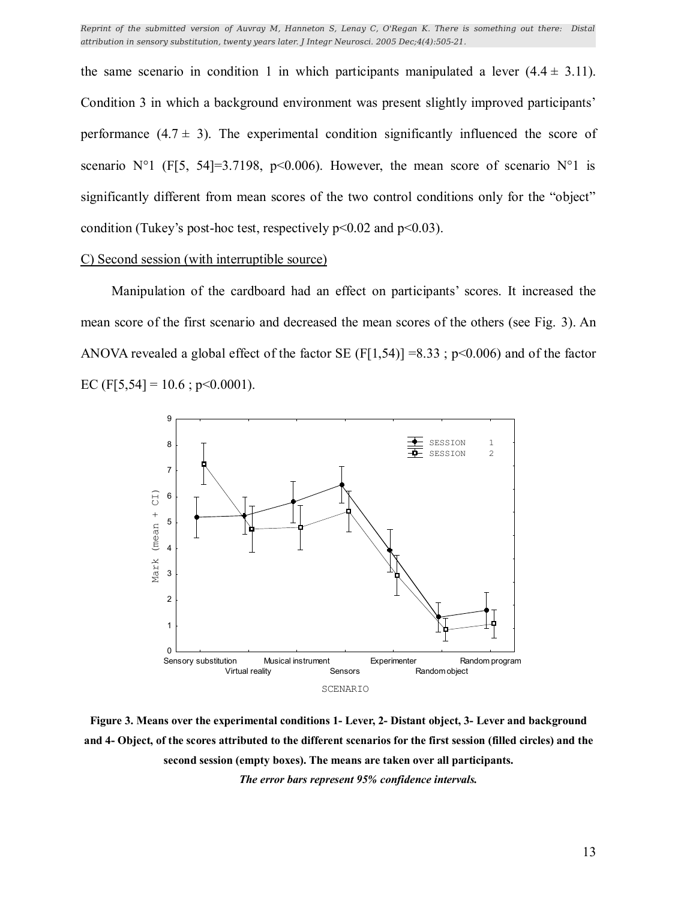the same scenario in condition 1 in which participants manipulated a lever  $(4.4 \pm 3.11)$ . Condition 3 in which a background environment was present slightly improved participants<sup>†</sup> performance  $(4.7 \pm 3)$ . The experimental condition significantly influenced the score of scenario  $N^{\circ}1$  (F[5, 54]=3.7198, p<0.006). However, the mean score of scenario  $N^{\circ}1$  is significantly different from mean scores of the two control conditions only for the "object" condition (Tukey's post-hoc test, respectively  $p<0.02$  and  $p<0.03$ ).

#### C) Second session (with interruptible source)

Manipulation of the cardboard had an effect on participants' scores. It increased the mean score of the first scenario and decreased the mean scores of the others (see Fig. 3). An ANOVA revealed a global effect of the factor SE  $(F[1,54)] = 8.33$ ; p<0.006) and of the factor EC (F[5,54] = 10.6 ; p<0.0001).



**Figure 3. Means over the experimental conditions 1- Lever, 2- Distant object, 3- Lever and background** and 4- Object, of the scores attributed to the different scenarios for the first session (filled circles) and the **second session (empty boxes). The means are taken over all participants.**

*The error bars represent 95% confidence intervals.*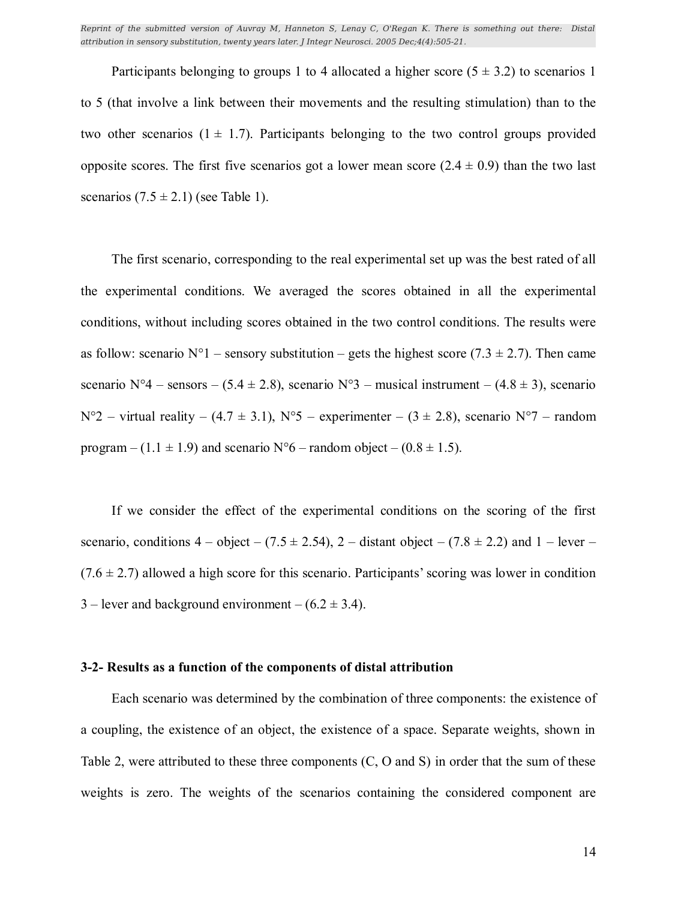Participants belonging to groups 1 to 4 allocated a higher score  $(5 \pm 3.2)$  to scenarios 1 to 5 (that involve a link between their movements and the resulting stimulation) than to the two other scenarios  $(1 \pm 1.7)$ . Participants belonging to the two control groups provided opposite scores. The first five scenarios got a lower mean score  $(2.4 \pm 0.9)$  than the two last scenarios  $(7.5 \pm 2.1)$  (see Table 1).

The first scenario, corresponding to the real experimental set up was the best rated of all the experimental conditions. We averaged the scores obtained in all the experimental conditions, without including scores obtained in the two control conditions. The results were as follow: scenario  $N^{\circ}1$  – sensory substitution – gets the highest score (7.3  $\pm$  2.7). Then came scenario N°4 – sensors – (5.4 ± 2.8), scenario N°3 – musical instrument – (4.8 ± 3), scenario  $N^{\circ}2$  – virtual reality – (4.7  $\pm$  3.1), N°5 – experimenter – (3  $\pm$  2.8), scenario N°7 – random program  $- (1.1 \pm 1.9)$  and scenario N°6 – random object  $- (0.8 \pm 1.5)$ .

If we consider the effect of the experimental conditions on the scoring of the first scenario, conditions  $4 -$  object  $- (7.5 \pm 2.54)$ ,  $2 -$  distant object  $- (7.8 \pm 2.2)$  and  $1 -$  lever  $(7.6 \pm 2.7)$  allowed a high score for this scenario. Participants' scoring was lower in condition 3 – lever and background environment –  $(6.2 \pm 3.4)$ .

#### **3-2- Results as a function of the components of distal attribution**

Each scenario was determined by the combination of three components: the existence of a coupling, the existence of an object, the existence of a space. Separate weights, shown in Table 2, were attributed to these three components (C, O and S) in order that the sum of these weights is zero. The weights of the scenarios containing the considered component are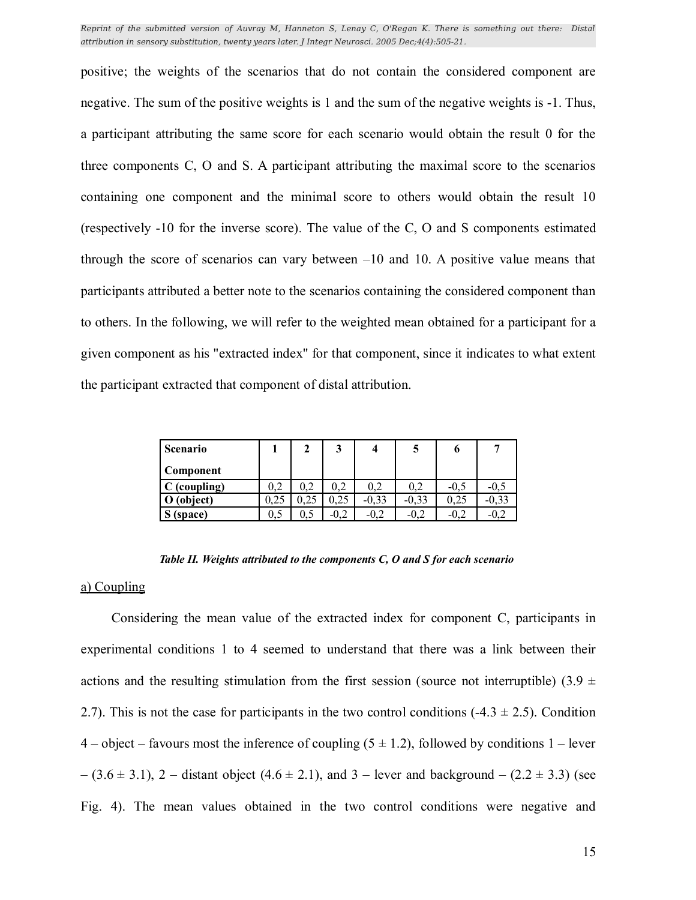positive; the weights of the scenarios that do not contain the considered component are negative. The sum of the positive weights is 1 and the sum of the negative weights is -1. Thus, a participant attributing the same score for each scenario would obtain the result 0 for the three components C, O and S. A participant attributing the maximal score to the scenarios containing one component and the minimal score to others would obtain the result 10 (respectively -10 for the inverse score). The value of the C, O and S components estimated through the score of scenarios can vary between  $-10$  and 10. A positive value means that participants attributed a better note to the scenarios containing the considered component than to others. In the following, we will refer to the weighted mean obtained for a participant for a given component as his "extracted index" for that component, since it indicates to what extent the participant extracted that component of distal attribution.

| Scenario       |      |      |              |         |         | υ      |            |  |
|----------------|------|------|--------------|---------|---------|--------|------------|--|
| Component      |      |      |              |         |         |        |            |  |
| $C$ (coupling) | 0.2  | ے    | .2           |         | 0.2     | $-0.5$ | $-0.5$     |  |
| (object)       | 0.25 | 0.25 | 0,25         | $-0,33$ | $-0,33$ | 0.25   | $-0.33$    |  |
| (space)        | 0.5  |      | $-U, \angle$ | $-0.2$  | $-0.2$  | $-0.2$ | $-U, \sim$ |  |

#### *Table II. Weights attributed to the components C, O and S for each scenario*

#### a) Coupling

Considering the mean value of the extracted index for component C, participants in experimental conditions 1 to 4 seemed to understand that there was a link between their actions and the resulting stimulation from the first session (source not interruptible) (3.9  $\pm$ 2.7). This is not the case for participants in the two control conditions  $(-4.3 \pm 2.5)$ . Condition 4 – object – favours most the inference of coupling (5  $\pm$  1.2), followed by conditions 1 – lever  $(3.6 \pm 3.1),$  2 – distant object (4.6  $\pm$  2.1), and 3 – lever and background – (2.2  $\pm$  3.3) (see Fig. 4). The mean values obtained in the two control conditions were negative and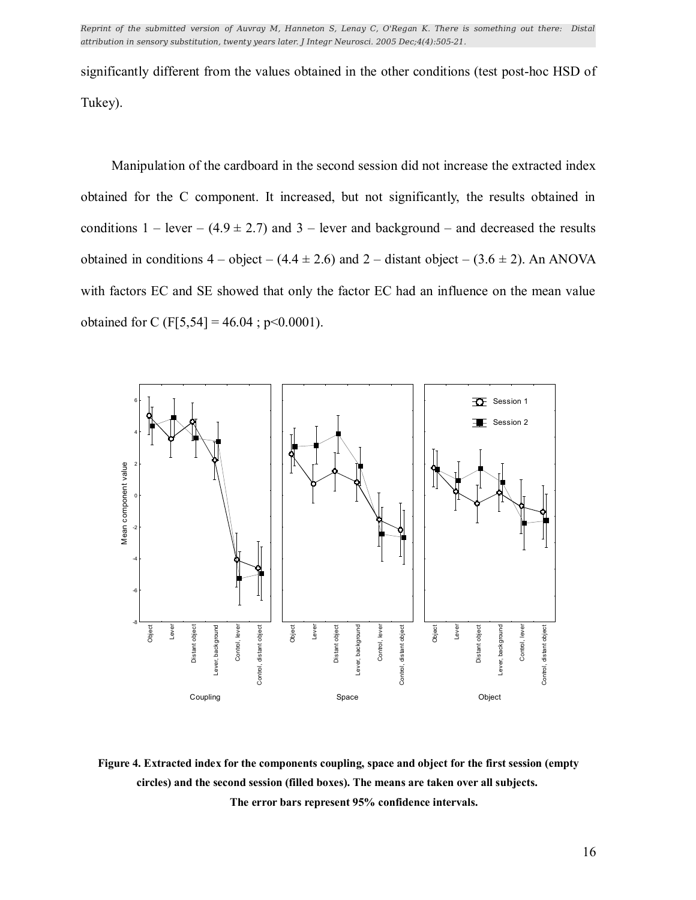significantly different from the values obtained in the other conditions (test post-hoc HSD of Tukey).

Manipulation of the cardboard in the second session did not increase the extracted index obtained for the C component. It increased, but not significantly, the results obtained in conditions  $1 - \text{lever} - (4.9 \pm 2.7)$  and  $3 - \text{lever}$  and background  $-$  and decreased the results obtained in conditions  $4 - object - (4.4 \pm 2.6)$  and  $2 - distinct$  object  $- (3.6 \pm 2)$ . An ANOVA with factors EC and SE showed that only the factor EC had an influence on the mean value obtained for C (F[5,54] = 46.04; p<0.0001).



**Figure 4. Extracted index for the components coupling, space and object for the first session (empty circles) and the second session (filled boxes). The means are taken over all subjects. The error bars represent 95% confidence intervals.**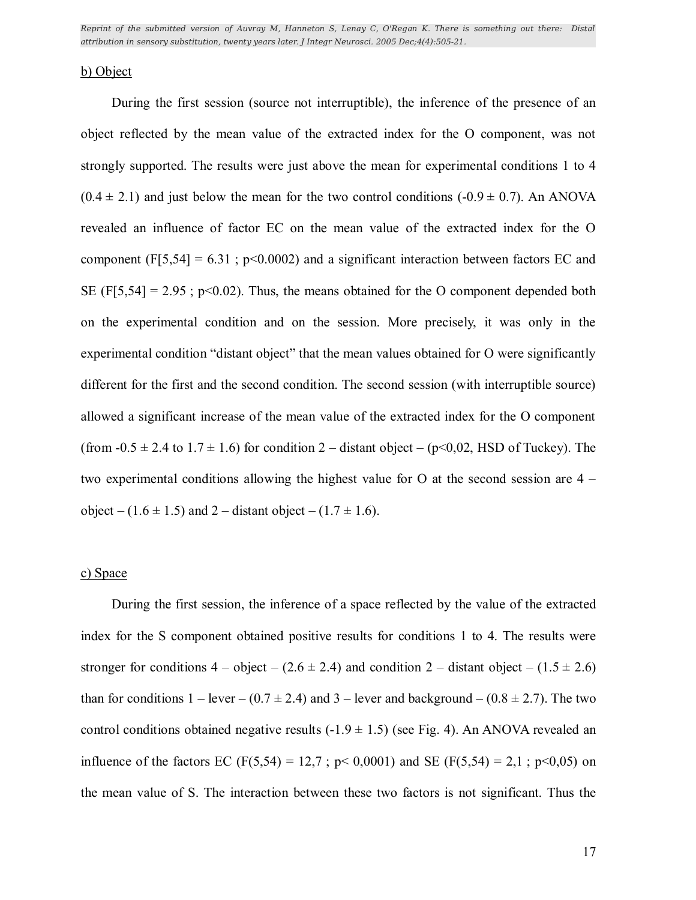#### b) Object

During the first session (source not interruptible), the inference of the presence of an object reflected by the mean value of the extracted index for the O component, was not strongly supported. The results were just above the mean for experimental conditions 1 to 4  $(0.4 \pm 2.1)$  and just below the mean for the two control conditions  $(-0.9 \pm 0.7)$ . An ANOVA revealed an influence of factor EC on the mean value of the extracted index for the O component  $(F[5,54] = 6.31$ ;  $p<0.0002$ ) and a significant interaction between factors EC and SE (F[5,54] = 2.95 ;  $p<0.02$ ). Thus, the means obtained for the O component depended both on the experimental condition and on the session. More precisely, it was only in the experimental condition "distant object" that the mean values obtained for O were significantly different for the first and the second condition. The second session (with interruptible source) allowed a significant increase of the mean value of the extracted index for the O component (from  $-0.5 \pm 2.4$  to  $1.7 \pm 1.6$ ) for condition 2 – distant object – (p<0,02, HSD of Tuckey). The two experimental conditions allowing the highest value for O at the second session are  $4$ object  $- (1.6 \pm 1.5)$  and 2 – distant object  $- (1.7 \pm 1.6)$ .

#### c) Space

During the first session, the inference of a space reflected by the value of the extracted index for the S component obtained positive results for conditions 1 to 4. The results were stronger for conditions  $4 - object - (2.6 \pm 2.4)$  and condition  $2 -$  distant object  $- (1.5 \pm 2.6)$ than for conditions  $1 - \text{lever} - (0.7 \pm 2.4)$  and  $3 - \text{lever}$  and background  $- (0.8 \pm 2.7)$ . The two control conditions obtained negative results  $(-1.9 \pm 1.5)$  (see Fig. 4). An ANOVA revealed an influence of the factors EC (F(5,54) = 12,7; p< 0,0001) and SE (F(5,54) = 2,1; p<0,05) on the mean value of S. The interaction between these two factors is not significant. Thus the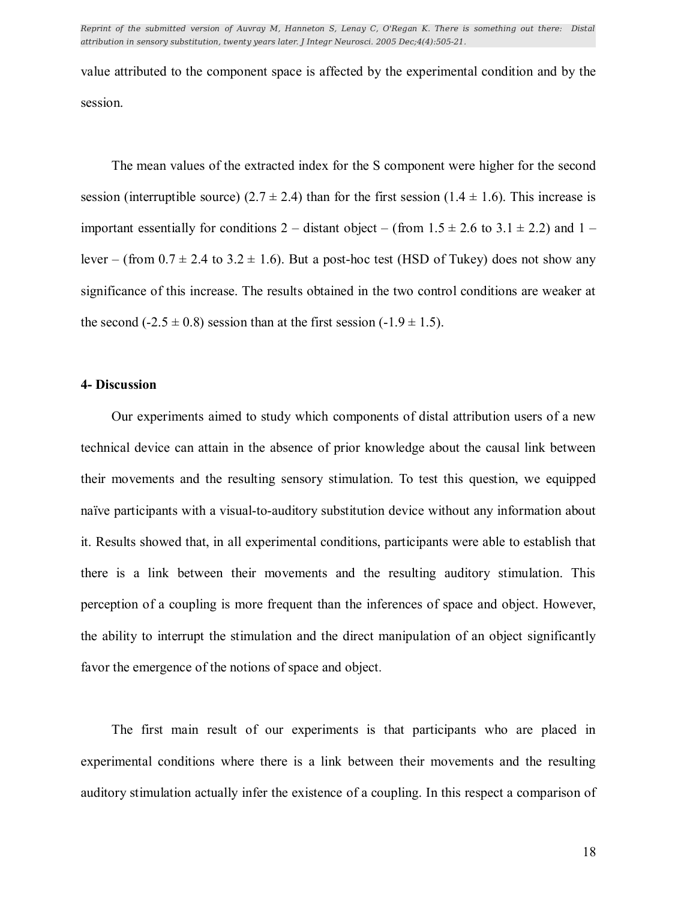value attributed to the component space is affected by the experimental condition and by the session.

The mean values of the extracted index for the S component were higher for the second session (interruptible source) (2.7  $\pm$  2.4) than for the first session (1.4  $\pm$  1.6). This increase is important essentially for conditions 2 – distant object – (from  $1.5 \pm 2.6$  to  $3.1 \pm 2.2$ ) and  $1$  – lever – (from  $0.7 \pm 2.4$  to  $3.2 \pm 1.6$ ). But a post-hoc test (HSD of Tukey) does not show any significance of this increase. The results obtained in the two control conditions are weaker at the second  $(-2.5 \pm 0.8)$  session than at the first session  $(-1.9 \pm 1.5)$ .

#### **4- Discussion**

Our experiments aimed to study which components of distal attribution users of a new technical device can attain in the absence of prior knowledge about the causal link between their movements and the resulting sensory stimulation. To test this question, we equipped naïve participants with a visual-to-auditory substitution device without any information about it. Results showed that, in all experimental conditions, participants were able to establish that there is a link between their movements and the resulting auditory stimulation. This perception of a coupling is more frequent than the inferences of space and object. However, the ability to interrupt the stimulation and the direct manipulation of an object significantly favor the emergence of the notions of space and object.

The first main result of our experiments is that participants who are placed in experimental conditions where there is a link between their movements and the resulting auditory stimulation actually infer the existence of a coupling. In this respect a comparison of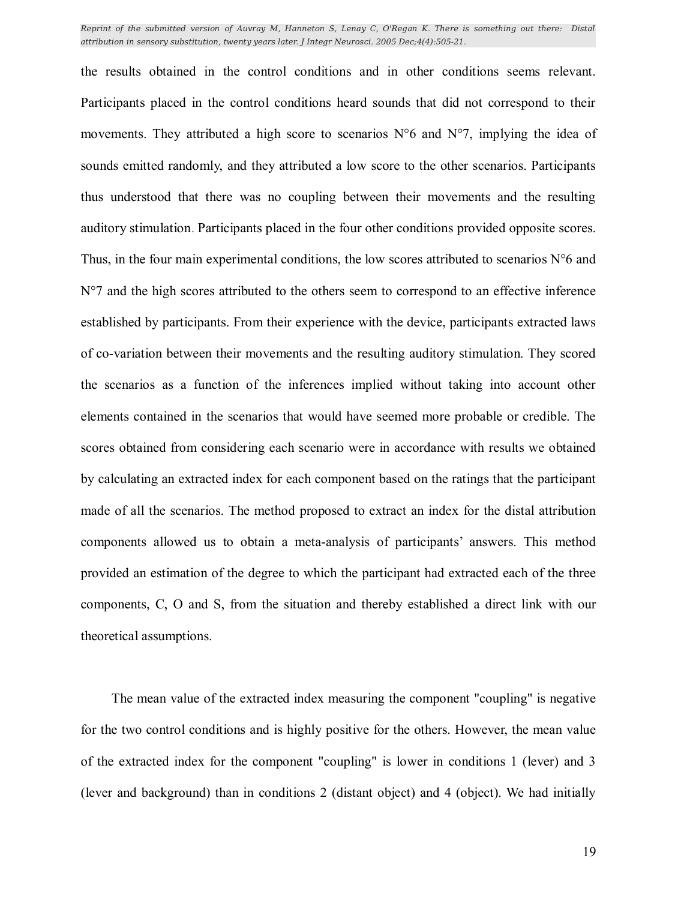the results obtained in the control conditions and in other conditions seems relevant. Participants placed in the control conditions heard sounds that did not correspond to their movements. They attributed a high score to scenarios  $N^{\circ}6$  and  $N^{\circ}7$ , implying the idea of sounds emitted randomly, and they attributed a low score to the other scenarios. Participants thus understood that there was no coupling between their movements and the resulting auditory stimulation. Participants placed in the four other conditions provided opposite scores. Thus, in the four main experimental conditions, the low scores attributed to scenarios  $N^{\circ}6$  and N°7 and the high scores attributed to the others seem to correspond to an effective inference established by participants. From their experience with the device, participants extracted laws of co-variation between their movements and the resulting auditory stimulation. They scored the scenarios as a function of the inferences implied without taking into account other elements contained in the scenarios that would have seemed more probable or credible. The scores obtained from considering each scenario were in accordance with results we obtained by calculating an extracted index for each component based on the ratings that the participant made of all the scenarios. The method proposed to extract an index for the distal attribution components allowed us to obtain a meta-analysis of participants' answers. This method provided an estimation of the degree to which the participant had extracted each of the three components, C, O and S, from the situation and thereby established a direct link with our theoretical assumptions.

The mean value of the extracted index measuring the component "coupling" is negative for the two control conditions and is highly positive for the others. However, the mean value of the extracted index for the component "coupling" is lower in conditions 1 (lever) and 3 (lever and background) than in conditions 2 (distant object) and 4 (object). We had initially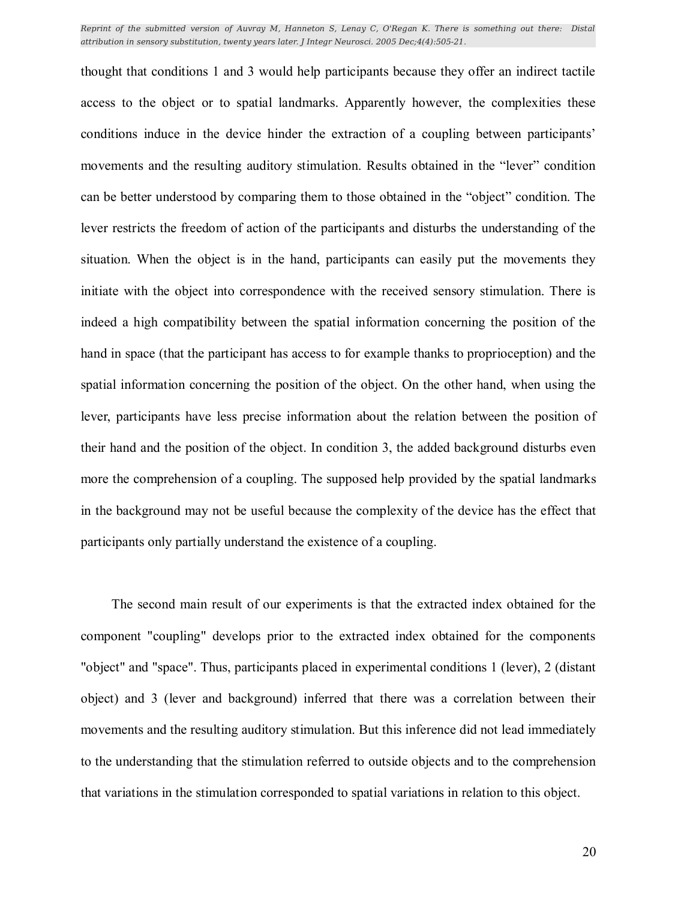thought that conditions 1 and 3 would help participants because they offer an indirect tactile access to the object or to spatial landmarks. Apparently however, the complexities these conditions induce in the device hinder the extraction of a coupling between participants<sup>'</sup> movements and the resulting auditory stimulation. Results obtained in the "lever" condition can be better understood by comparing them to those obtained in the "object" condition. The lever restricts the freedom of action of the participants and disturbs the understanding of the situation. When the object is in the hand, participants can easily put the movements they initiate with the object into correspondence with the received sensory stimulation. There is indeed a high compatibility between the spatial information concerning the position of the hand in space (that the participant has access to for example thanks to proprioception) and the spatial information concerning the position of the object. On the other hand, when using the lever, participants have less precise information about the relation between the position of their hand and the position of the object. In condition 3, the added background disturbs even more the comprehension of a coupling. The supposed help provided by the spatial landmarks in the background may not be useful because the complexity of the device has the effect that participants only partially understand the existence of a coupling.

The second main result of our experiments is that the extracted index obtained for the component "coupling" develops prior to the extracted index obtained for the components "object" and "space". Thus, participants placed in experimental conditions 1 (lever), 2 (distant object) and 3 (lever and background) inferred that there was a correlation between their movements and the resulting auditory stimulation. But this inference did not lead immediately to the understanding that the stimulation referred to outside objects and to the comprehension that variations in the stimulation corresponded to spatial variations in relation to this object.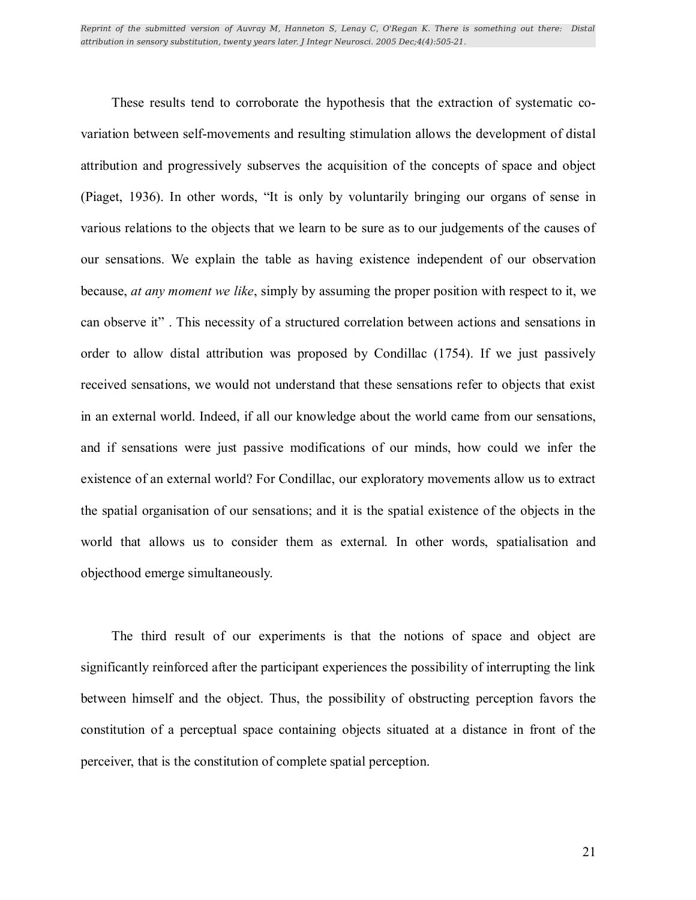These results tend to corroborate the hypothesis that the extraction of systematic covariation between self-movements and resulting stimulation allows the development of distal attribution and progressively subserves the acquisition of the concepts of space and object (Piaget, 1936). In other words, "It is only by voluntarily bringing our organs of sense in various relations to the objects that we learn to be sure as to our judgements of the causes of our sensations. We explain the table as having existence independent of our observation because, *at any moment we like*, simply by assuming the proper position with respect to it, we can observe it". This necessity of a structured correlation between actions and sensations in order to allow distal attribution was proposed by Condillac (1754). If we just passively received sensations, we would not understand that these sensations refer to objects that exist in an external world. Indeed, if all our knowledge about the world came from our sensations, and if sensations were just passive modifications of our minds, how could we infer the existence of an external world? For Condillac, our exploratory movements allow us to extract the spatial organisation of our sensations; and it is the spatial existence of the objects in the world that allows us to consider them as external. In other words, spatialisation and objecthood emerge simultaneously.

The third result of our experiments is that the notions of space and object are significantly reinforced after the participant experiences the possibility of interrupting the link between himself and the object. Thus, the possibility of obstructing perception favors the constitution of a perceptual space containing objects situated at a distance in front of the perceiver, that is the constitution of complete spatial perception.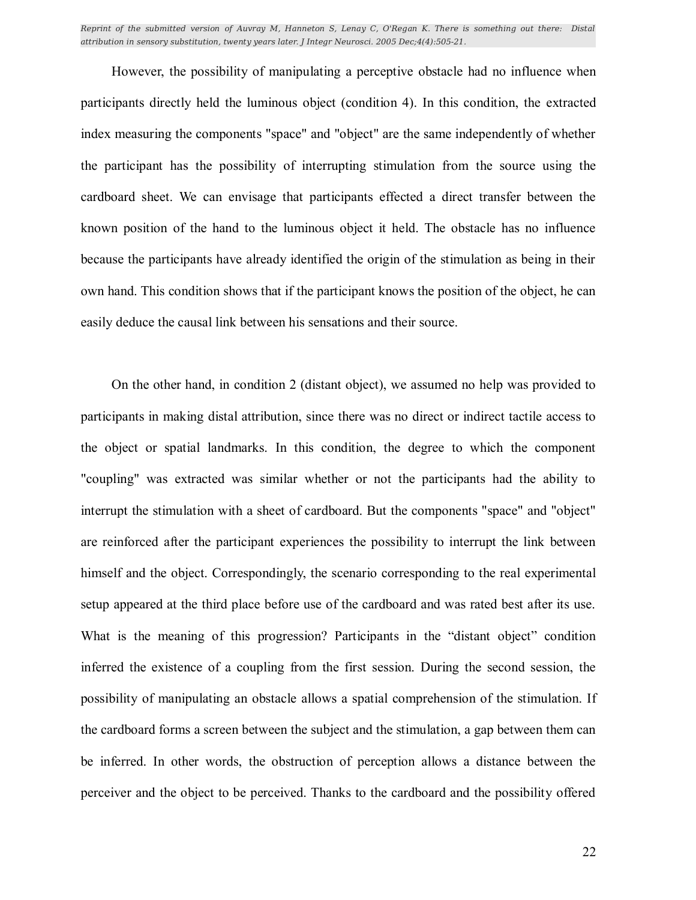However, the possibility of manipulating a perceptive obstacle had no influence when participants directly held the luminous object (condition 4). In this condition, the extracted index measuring the components "space" and "object" are the same independently of whether the participant has the possibility of interrupting stimulation from the source using the cardboard sheet. We can envisage that participants effected a direct transfer between the known position of the hand to the luminous object it held. The obstacle has no influence because the participants have already identified the origin of the stimulation as being in their own hand. This condition shows that if the participant knows the position of the object, he can easily deduce the causal link between his sensations and their source.

On the other hand, in condition 2 (distant object), we assumed no help was provided to participants in making distal attribution, since there was no direct or indirect tactile access to the object or spatial landmarks. In this condition, the degree to which the component "coupling" was extracted was similar whether or not the participants had the ability to interrupt the stimulation with a sheet of cardboard. But the components "space" and "object" are reinforced after the participant experiences the possibility to interrupt the link between himself and the object. Correspondingly, the scenario corresponding to the real experimental setup appeared at the third place before use of the cardboard and was rated best after its use. What is the meaning of this progression? Participants in the "distant object" condition inferred the existence of a coupling from the first session. During the second session, the possibility of manipulating an obstacle allows a spatial comprehension of the stimulation. If the cardboard forms a screen between the subject and the stimulation, a gap between them can be inferred. In other words, the obstruction of perception allows a distance between the perceiver and the object to be perceived. Thanks to the cardboard and the possibility offered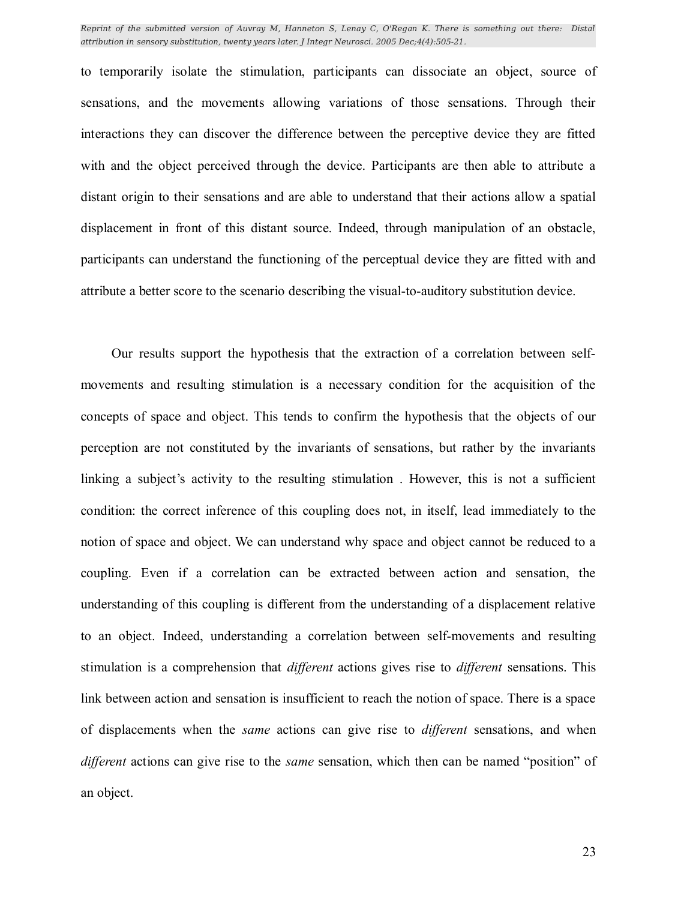to temporarily isolate the stimulation, participants can dissociate an object, source of sensations, and the movements allowing variations of those sensations. Through their interactions they can discover the difference between the perceptive device they are fitted with and the object perceived through the device. Participants are then able to attribute a distant origin to their sensations and are able to understand that their actions allow a spatial displacement in front of this distant source. Indeed, through manipulation of an obstacle, participants can understand the functioning of the perceptual device they are fitted with and attribute a better score to the scenario describing the visual-to-auditory substitution device.

Our results support the hypothesis that the extraction of a correlation between selfmovements and resulting stimulation is a necessary condition for the acquisition of the concepts of space and object. This tends to confirm the hypothesis that the objects of our perception are not constituted by the invariants of sensations, but rather by the invariants linking a subject's activity to the resulting stimulation. However, this is not a sufficient condition: the correct inference of this coupling does not, in itself, lead immediately to the notion of space and object. We can understand why space and object cannot be reduced to a coupling. Even if a correlation can be extracted between action and sensation, the understanding of this coupling is different from the understanding of a displacement relative to an object. Indeed, understanding a correlation between self-movements and resulting stimulation is a comprehension that *different* actions gives rise to *different* sensations. This link between action and sensation is insufficient to reach the notion of space. There is a space of displacements when the *same* actions can give rise to *different* sensations, and when *different* actions can give rise to the *same* sensation, which then can be named "position" of an object.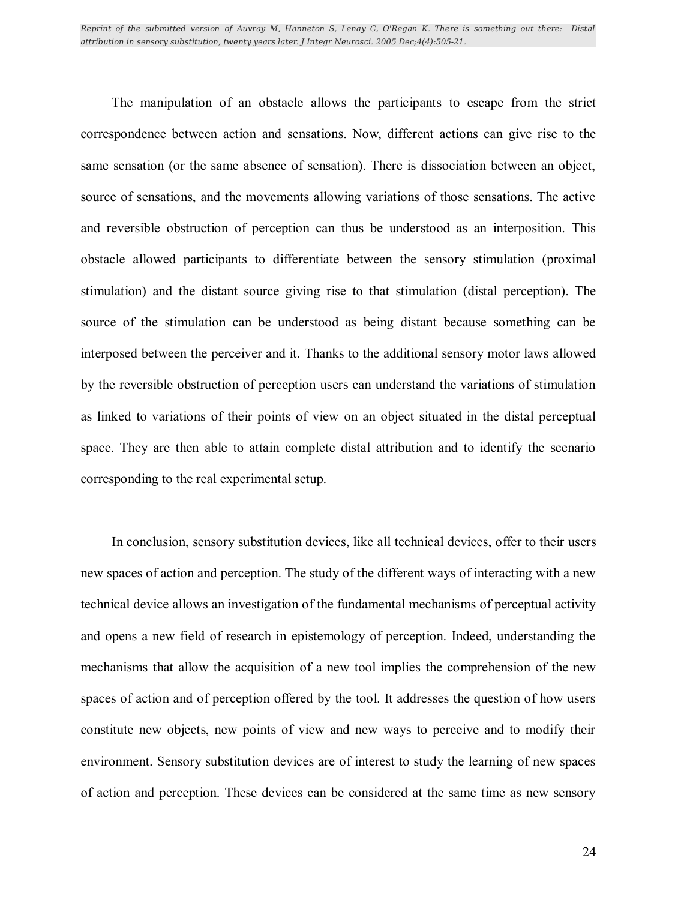The manipulation of an obstacle allows the participants to escape from the strict correspondence between action and sensations. Now, different actions can give rise to the same sensation (or the same absence of sensation). There is dissociation between an object, source of sensations, and the movements allowing variations of those sensations. The active and reversible obstruction of perception can thus be understood as an interposition. This obstacle allowed participants to differentiate between the sensory stimulation (proximal stimulation) and the distant source giving rise to that stimulation (distal perception). The source of the stimulation can be understood as being distant because something can be interposed between the perceiver and it. Thanks to the additional sensory motor laws allowed by the reversible obstruction of perception users can understand the variations of stimulation as linked to variations of their points of view on an object situated in the distal perceptual space. They are then able to attain complete distal attribution and to identify the scenario corresponding to the real experimental setup.

In conclusion, sensory substitution devices, like all technical devices, offer to their users new spaces of action and perception. The study of the different ways of interacting with a new technical device allows an investigation of the fundamental mechanisms of perceptual activity and opens a new field of research in epistemology of perception. Indeed, understanding the mechanisms that allow the acquisition of a new tool implies the comprehension of the new spaces of action and of perception offered by the tool. It addresses the question of how users constitute new objects, new points of view and new ways to perceive and to modify their environment. Sensory substitution devices are of interest to study the learning of new spaces of action and perception. These devices can be considered at the same time as new sensory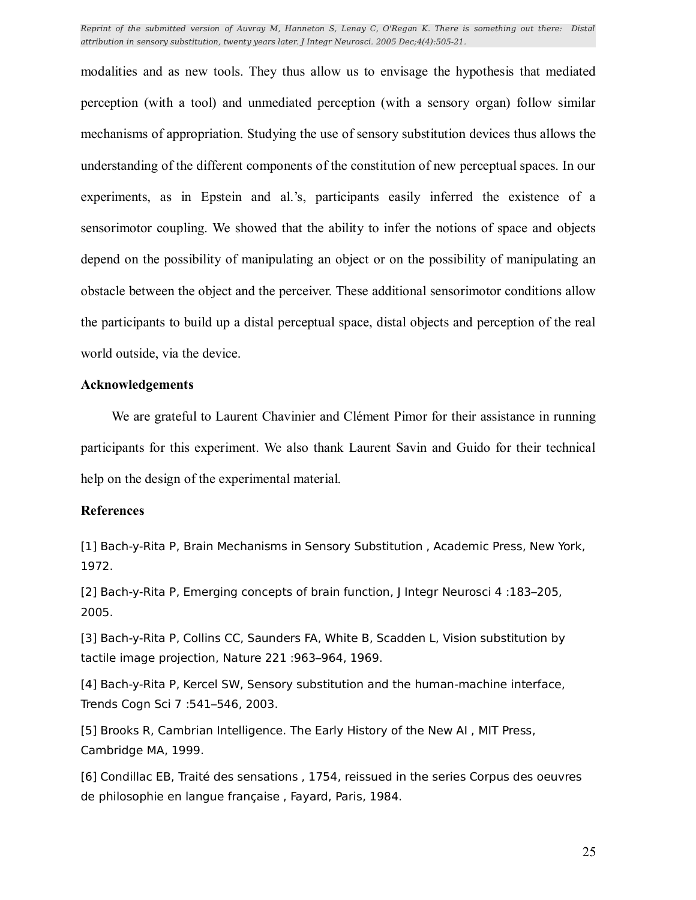modalities and as new tools. They thus allow us to envisage the hypothesis that mediated perception (with a tool) and unmediated perception (with a sensory organ) follow similar mechanisms of appropriation. Studying the use of sensory substitution devices thus allows the understanding of the different components of the constitution of new perceptual spaces. In our experiments, as in Epstein and al.'s, participants easily inferred the existence of a sensorimotor coupling. We showed that the ability to infer the notions of space and objects depend on the possibility of manipulating an object or on the possibility of manipulating an obstacle between the object and the perceiver. These additional sensorimotor conditions allow the participants to build up a distal perceptual space, distal objects and perception of the real world outside, via the device.

#### **Acknowledgements**

We are grateful to Laurent Chavinier and Clément Pimor for their assistance in running participants for this experiment. We also thank Laurent Savin and Guido for their technical help on the design of the experimental material.

#### **References**

[1] Bach-y-Rita P, Brain Mechanisms in Sensory Substitution , Academic Press, New York, 1972.

[2] Bach-y-Rita P, Emerging concepts of brain function, J Integr Neurosci 4:183-205, 2005.

[3] Bach-y-Rita P, Collins CC, Saunders FA, White B, Scadden L, Vision substitution by tactile image projection, Nature 221 : 963-964, 1969.

[4] Bach-y-Rita P, Kercel SW, Sensory substitution and the human-machine interface, Trends Cogn Sci 7:541-546, 2003.

[5] Brooks R, Cambrian Intelligence. The Early History of the New AI , MIT Press, Cambridge MA, 1999.

[6] Condillac EB, Traité des sensations, 1754, reissued in the series Corpus des oeuvres de philosophie en langue française, Fayard, Paris, 1984.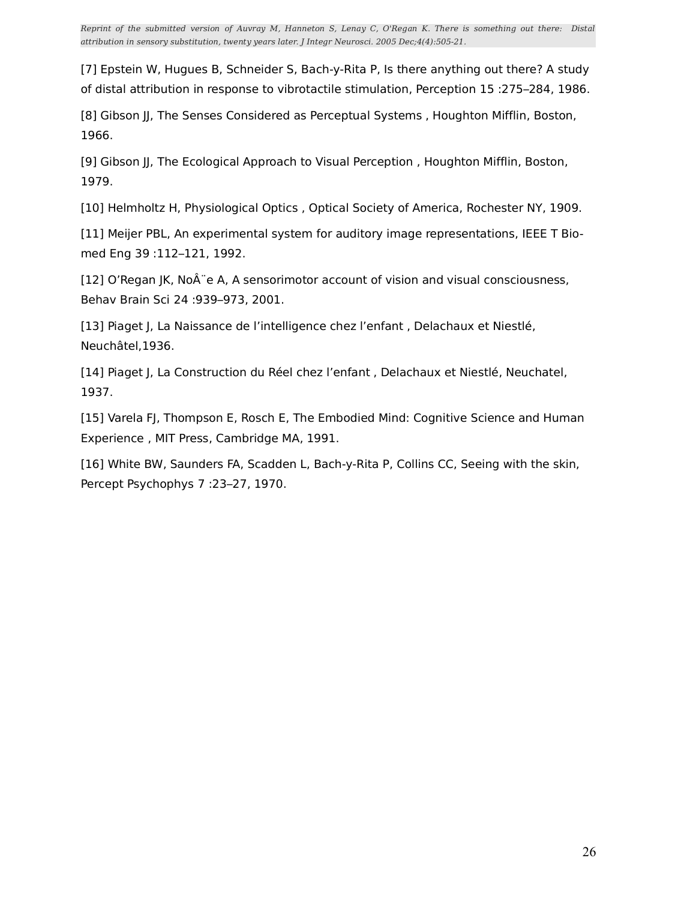[7] Epstein W, Hugues B, Schneider S, Bach-y-Rita P, Is there anything out there? A study of distal attribution in response to vibrotactile stimulation, Perception 15 :275-284, 1986.

[8] Gibson JJ, The Senses Considered as Perceptual Systems, Houghton Mifflin, Boston, 1966.

[9] Gibson JJ, The Ecological Approach to Visual Perception, Houghton Mifflin, Boston, 1979.

[10] Helmholtz H, Physiological Optics , Optical Society of America, Rochester NY, 1909.

[11] Meijer PBL, An experimental system for auditory image representations, IEEE T Biomed Eng 39 :112-121, 1992.

[12] O'Regan JK, No e A, A sensorimotor account of vision and visual consciousness, Behav Brain Sci 24 :939-973, 2001.

[13] Piaget J, La Naissance de l'intelligence chez l'enfant, Delachaux et Niestlé, Neuchâtel, 1936.

[14] Piaget J, La Construction du Réel chez l'enfant, Delachaux et Niestlé, Neuchatel, 1937.

[15] Varela FJ, Thompson E, Rosch E, The Embodied Mind: Cognitive Science and Human Experience , MIT Press, Cambridge MA, 1991.

[16] White BW, Saunders FA, Scadden L, Bach-y-Rita P, Collins CC, Seeing with the skin, Percept Psychophys 7:23-27, 1970.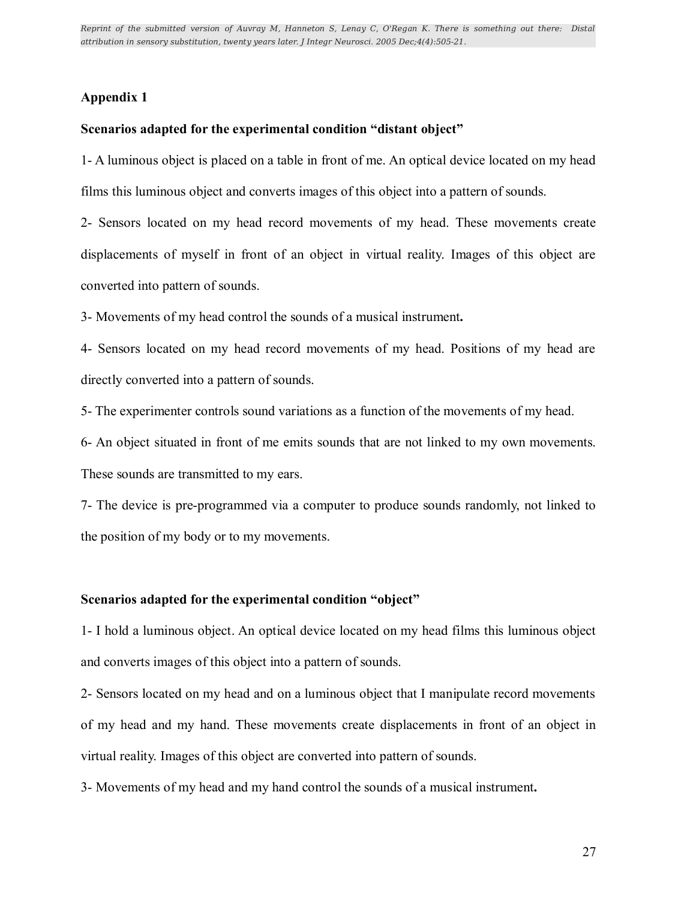#### **Appendix 1**

#### **Scenarios adapted** for the experimental condition "distant object"

1- A luminous object is placed on a table in front of me. An optical device located on my head films this luminous object and converts images of this object into a pattern of sounds.

2- Sensors located on my head record movements of my head. These movements create displacements of myself in front of an object in virtual reality. Images of this object are converted into pattern of sounds.

3- Movements of my head control the sounds of a musical instrument**.**

4- Sensors located on my head record movements of my head. Positions of my head are directly converted into a pattern of sounds.

5- The experimenter controls sound variations as a function of the movements of my head.

6- An object situated in front of me emits sounds that are not linked to my own movements.

These sounds are transmitted to my ears.

7- The device is pre-programmed via a computer to produce sounds randomly, not linked to the position of my body or to my movements.

#### **Scenarios adapted for the experimental condition ìobjectî**

1- I hold a luminous object. An optical device located on my head films this luminous object and converts images of this object into a pattern of sounds.

2- Sensors located on my head and on a luminous object that I manipulate record movements of my head and my hand. These movements create displacements in front of an object in virtual reality. Images of this object are converted into pattern of sounds.

3- Movements of my head and my hand control the sounds of a musical instrument**.**